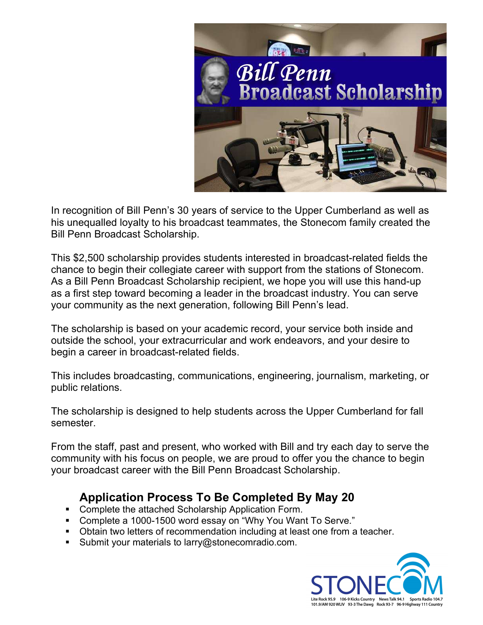

In recognition of Bill Penn's 30 years of service to the Upper Cumberland as well as his unequalled loyalty to his broadcast teammates, the Stonecom family created the Bill Penn Broadcast Scholarship.

This \$2,500 scholarship provides students interested in broadcast-related fields the chance to begin their collegiate career with support from the stations of Stonecom. As a Bill Penn Broadcast Scholarship recipient, we hope you will use this hand-up as a first step toward becoming a leader in the broadcast industry. You can serve your community as the next generation, following Bill Penn's lead.

The scholarship is based on your academic record, your service both inside and outside the school, your extracurricular and work endeavors, and your desire to begin a career in broadcast-related fields.

This includes broadcasting, communications, engineering, journalism, marketing, or public relations.

The scholarship is designed to help students across the Upper Cumberland for fall semester.

From the staff, past and present, who worked with Bill and try each day to serve the community with his focus on people, we are proud to offer you the chance to begin your broadcast career with the Bill Penn Broadcast Scholarship.

## Application Process To Be Completed By May 20

- **Complete the attached Scholarship Application Form.**
- Complete a 1000-1500 word essay on "Why You Want To Serve."
- Obtain two letters of recommendation including at least one from a teacher.
- Submit your materials to larry@stonecomradio.com.

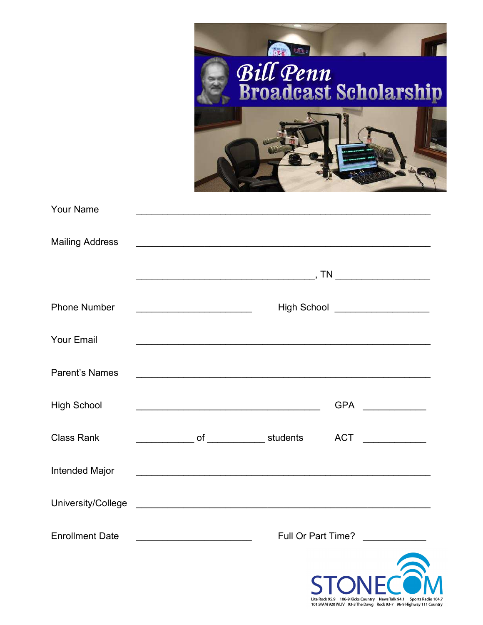|                        | Bill Penn<br>Broadcast Scholarship                                                                                                         |  |
|------------------------|--------------------------------------------------------------------------------------------------------------------------------------------|--|
| <b>Your Name</b>       |                                                                                                                                            |  |
| <b>Mailing Address</b> |                                                                                                                                            |  |
|                        |                                                                                                                                            |  |
| <b>Phone Number</b>    |                                                                                                                                            |  |
| <b>Your Email</b>      |                                                                                                                                            |  |
| <b>Parent's Names</b>  |                                                                                                                                            |  |
| <b>High School</b>     | GPA ______________                                                                                                                         |  |
| <b>Class Rank</b>      | _______________ of ______________ students    ACT ______________                                                                           |  |
| Intended Major         | <u> 1990 - Johann John Stoff, deutscher Stoffen und der Stoffen und der Stoffen und der Stoffen und der Stoffen un</u>                     |  |
|                        |                                                                                                                                            |  |
| <b>Enrollment Date</b> | Full Or Part Time?<br><u> 2000 - 2000 - 2000 - 2000 - 2000 - 2000 - 2000 - 2000 - 2000 - 2000 - 2000 - 2000 - 2000 - 2000 - 2000 - 200</u> |  |
|                        | STONECOM                                                                                                                                   |  |

Lite Rock 95.9 106-9 Kicks Country News Talk 94.1 Sports Radio 104.7<br>101.9/AM 920 WLIV 93-3 The Dawg Rock 93-7 96-9 Highway 111 Country